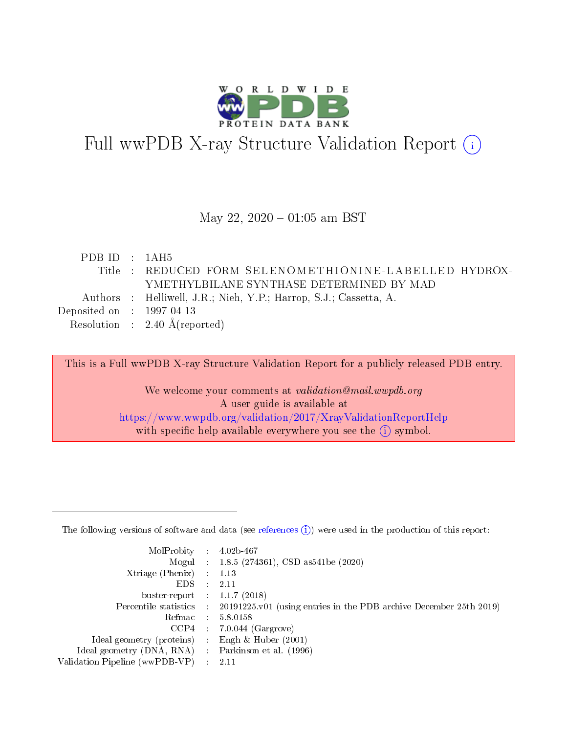

# Full wwPDB X-ray Structure Validation Report (i)

#### May 22,  $2020 - 01:05$  am BST

| PDBID : 1AH5                         |                                                                   |
|--------------------------------------|-------------------------------------------------------------------|
|                                      | Title : REDUCED FORM SELENOMETHIONINE-LABELLED HYDROX-            |
|                                      | YMETHYLBILANE SYNTHASE DETERMINED BY MAD                          |
|                                      | Authors : Helliwell, J.R.; Nieh, Y.P.; Harrop, S.J.; Cassetta, A. |
| Deposited on $\therefore$ 1997-04-13 |                                                                   |
|                                      | Resolution : $2.40 \text{ Å}$ (reported)                          |

This is a Full wwPDB X-ray Structure Validation Report for a publicly released PDB entry.

We welcome your comments at validation@mail.wwpdb.org A user guide is available at <https://www.wwpdb.org/validation/2017/XrayValidationReportHelp> with specific help available everywhere you see the  $(i)$  symbol.

The following versions of software and data (see [references](https://www.wwpdb.org/validation/2017/XrayValidationReportHelp#references)  $(1)$ ) were used in the production of this report:

| MolProbity                     | $\mathcal{L}_{\rm{max}}$ | $4.02b - 467$                                                                |
|--------------------------------|--------------------------|------------------------------------------------------------------------------|
|                                |                          | Mogul : $1.8.5$ (274361), CSD as 541be (2020)                                |
| $X$ triage (Phenix) :          |                          | 1.13                                                                         |
| EDS.                           |                          | 2.11                                                                         |
| buster-report : $1.1.7$ (2018) |                          |                                                                              |
| Percentile statistics :        |                          | $20191225 \text{ v}01$ (using entries in the PDB archive December 25th 2019) |
| Refmac                         |                          | 5.8.0158                                                                     |
| $CCP4$ :                       |                          | $7.0.044$ (Gargrove)                                                         |
| Ideal geometry (proteins) :    |                          | Engh $\&$ Huber (2001)                                                       |
| Ideal geometry (DNA, RNA) :    |                          | Parkinson et al. (1996)                                                      |
| Validation Pipeline (wwPDB-VP) | $\mathcal{L}$            | -2.11                                                                        |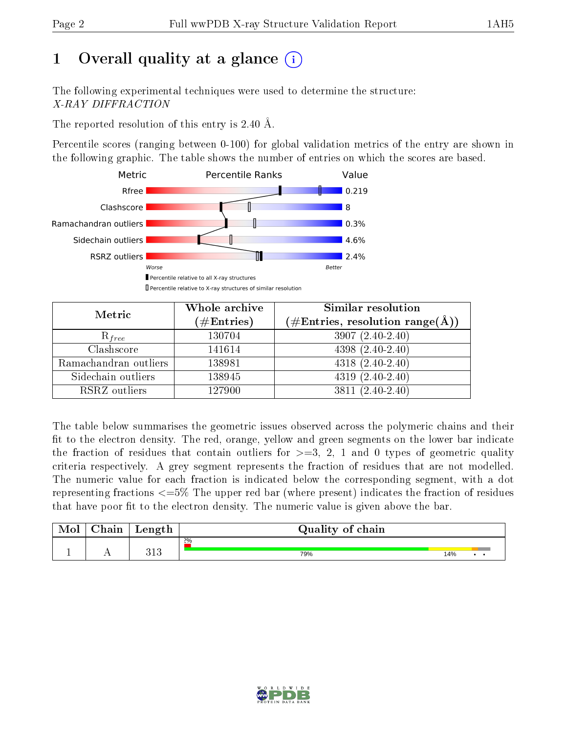# 1 [O](https://www.wwpdb.org/validation/2017/XrayValidationReportHelp#overall_quality)verall quality at a glance  $(i)$

The following experimental techniques were used to determine the structure: X-RAY DIFFRACTION

The reported resolution of this entry is 2.40 Å.

Percentile scores (ranging between 0-100) for global validation metrics of the entry are shown in the following graphic. The table shows the number of entries on which the scores are based.



| Metric                | Whole archive<br>$(\#\text{Entries})$ | Similar resolution<br>$(\#\text{Entries},\, \text{resolution}\; \text{range}(\textup{\AA}))$ |  |  |
|-----------------------|---------------------------------------|----------------------------------------------------------------------------------------------|--|--|
| $R_{free}$            | 130704                                | $3907(2.40-2.40)$                                                                            |  |  |
| Clashscore            | 141614                                | $4398(2.40-2.40)$                                                                            |  |  |
| Ramachandran outliers | 138981                                | $4318(2.40-2.40)$                                                                            |  |  |
| Sidechain outliers    | 138945                                | $4319(2.40-2.40)$                                                                            |  |  |
| RSRZ outliers         | 127900                                | $3811 (2.40 - 2.40)$                                                                         |  |  |

The table below summarises the geometric issues observed across the polymeric chains and their fit to the electron density. The red, orange, yellow and green segments on the lower bar indicate the fraction of residues that contain outliers for  $>=3, 2, 1$  and 0 types of geometric quality criteria respectively. A grey segment represents the fraction of residues that are not modelled. The numeric value for each fraction is indicated below the corresponding segment, with a dot representing fractions  $\epsilon=5\%$  The upper red bar (where present) indicates the fraction of residues that have poor fit to the electron density. The numeric value is given above the bar.

| Mol | $\cap$ hain | Length     | Quality of chain |     |  |
|-----|-------------|------------|------------------|-----|--|
|     |             |            | $2\%$            |     |  |
|     |             | 919<br>ບ⊥ບ | 79%              | 14% |  |

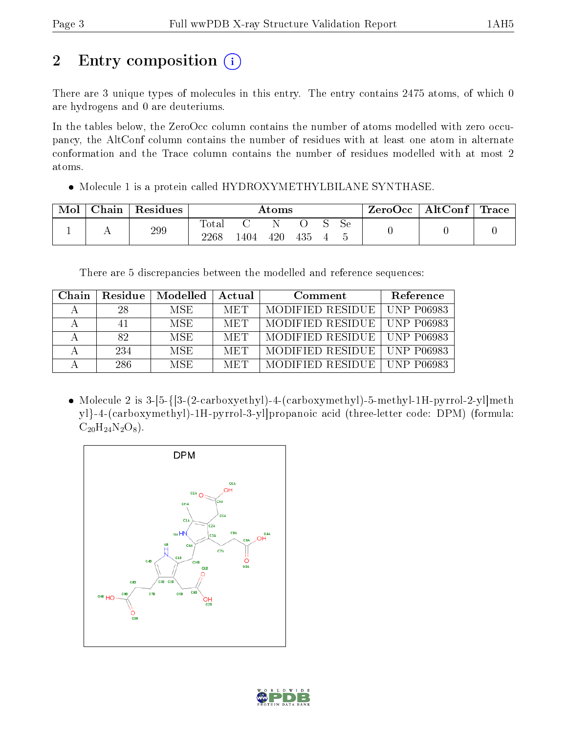# 2 Entry composition (i)

There are 3 unique types of molecules in this entry. The entry contains 2475 atoms, of which 0 are hydrogens and 0 are deuteriums.

In the tables below, the ZeroOcc column contains the number of atoms modelled with zero occupancy, the AltConf column contains the number of residues with at least one atom in alternate conformation and the Trace column contains the number of residues modelled with at most 2 atoms.

• Molecule 1 is a protein called HYDROXYMETHYLBILANE SYNTHASE.

| Mol | ${\rm Chain}$ | Residues | Atoms             |     |     |     |  | ZeroOcc | AltConf $\vert$ | $\mid$ Trace $\mid$ |  |
|-----|---------------|----------|-------------------|-----|-----|-----|--|---------|-----------------|---------------------|--|
|     |               | 299      | Total<br>$2268\,$ | 404 | 420 | 435 |  | Sе      |                 |                     |  |

There are 5 discrepancies between the modelled and reference sequences:

| Chain | Residue | Modelled   | Actual     | Comment                       | Reference  |
|-------|---------|------------|------------|-------------------------------|------------|
|       | 28      | MSE.       | <b>MET</b> | MODIFIED RESIDUE              | UNP P06983 |
|       |         | MSE.       | <b>MET</b> | MODIFIED RESIDUE   UNP P06983 |            |
|       | 82.     | <b>MSE</b> | <b>MET</b> | MODIFIED RESIDUE   UNP P06983 |            |
|       | -234    | <b>MSE</b> | <b>MET</b> | MODIFIED RESIDUE   UNP P06983 |            |
|       | 286.    | <b>MSE</b> | MET        | MODIFIED RESIDUE   UNP P06983 |            |

• Molecule 2 is  $3-[5-\{[3-(2-carboxyethyl)-4(carboxymethyl)-5-methyl-1H-pyrrol-2-y]|meth$ yl}-4-(carboxymethyl)-1H-pyrrol-3-yl]propanoic acid (three-letter code: DPM) (formula:  $C_{20}H_{24}N_2O_8$ .



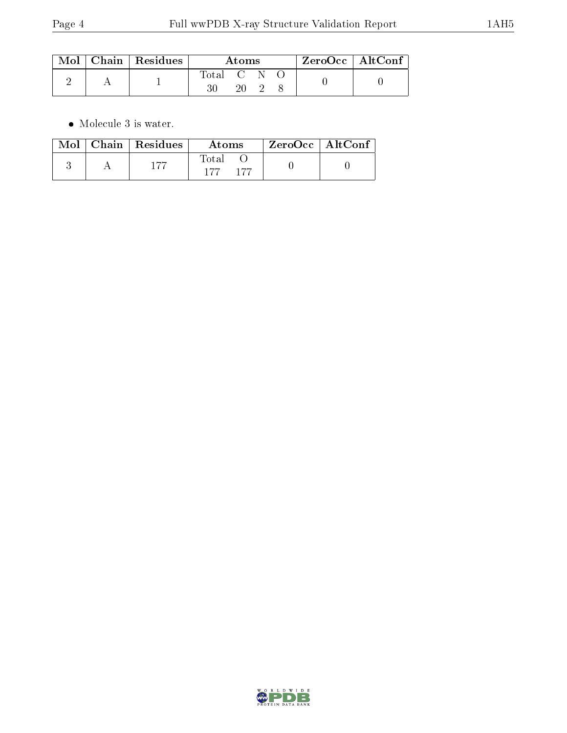|  | $\mid$ Mol $\mid$ Chain $\mid$ Residues | Atoms    |  |  | $\rm ZeroOcc \mid AltConf$ |  |
|--|-----------------------------------------|----------|--|--|----------------------------|--|
|  |                                         | 'Iotal C |  |  |                            |  |

 $\bullet\,$  Molecule 3 is water.

|  | Mol   Chain   Residues | Atoms                 | ZeroOcc   AltConf |  |
|--|------------------------|-----------------------|-------------------|--|
|  | 177                    | Total<br>177<br>- 177 |                   |  |

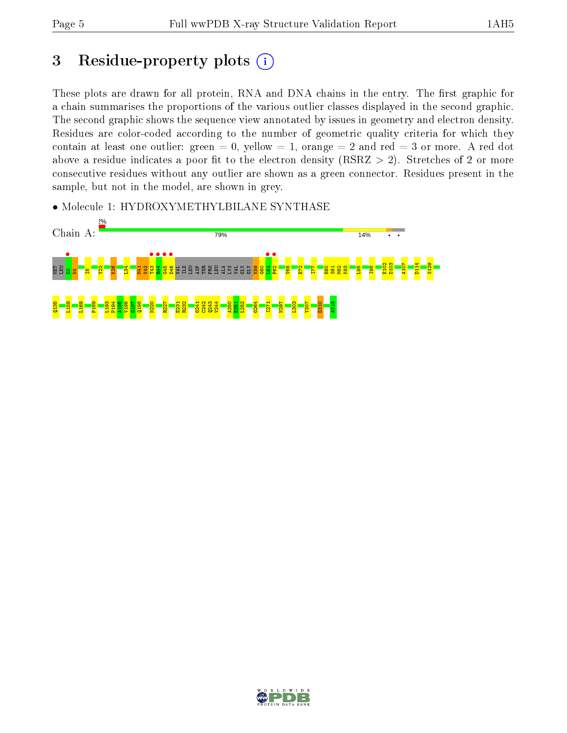## 3 Residue-property plots  $(i)$

These plots are drawn for all protein, RNA and DNA chains in the entry. The first graphic for a chain summarises the proportions of the various outlier classes displayed in the second graphic. The second graphic shows the sequence view annotated by issues in geometry and electron density. Residues are color-coded according to the number of geometric quality criteria for which they contain at least one outlier: green  $= 0$ , yellow  $= 1$ , orange  $= 2$  and red  $= 3$  or more. A red dot above a residue indicates a poor fit to the electron density (RSRZ  $> 2$ ). Stretches of 2 or more consecutive residues without any outlier are shown as a green connector. Residues present in the sample, but not in the model, are shown in grey.

• Molecule 1: HYDROXYMETHYLBILANE SYNTHASE



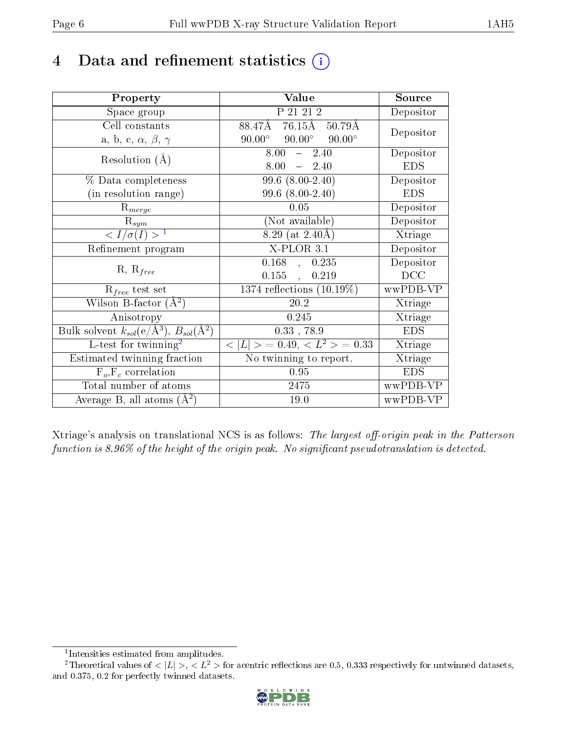## 4 Data and refinement statistics  $(i)$

| Property                                                         | Value                                            | Source     |
|------------------------------------------------------------------|--------------------------------------------------|------------|
| Space group                                                      | P 21 21 2                                        | Depositor  |
| Cell constants                                                   | $76.15\text{\AA}$<br>88.47Å<br>$50.79\text{\AA}$ | Depositor  |
| a, b, c, $\alpha$ , $\beta$ , $\gamma$                           | $90.00^\circ$<br>$90.00^\circ$<br>$90.00^\circ$  |            |
| Resolution $(A)$                                                 | $8.00 - 2.40$                                    | Depositor  |
|                                                                  | $8.00 = 2.40$                                    | <b>EDS</b> |
| % Data completeness                                              | $99.6(8.00-2.40)$                                | Depositor  |
| (in resolution range)                                            | $99.6$ $(8.00-2.40)$                             | <b>EDS</b> |
| $R_{merge}$                                                      | 0.05                                             | Depositor  |
| $\mathrm{R}_{sym}$                                               | (Not available)                                  | Depositor  |
| $\langle I/\sigma(I) \rangle^{-1}$                               | 8.29 (at $2.40\text{\AA}$ )                      | Xtriage    |
| Refinement program                                               | $X-PLOR$ 3.1                                     | Depositor  |
|                                                                  | $0.168$ ,<br>0.235                               | Depositor  |
| $R, R_{free}$                                                    | 0.155,<br>0.219                                  | DCC        |
| $R_{free}$ test set                                              | $1374$ reflections $(10.19\%)$                   | wwPDB-VP   |
| Wilson B-factor $(A^2)$                                          | 20.2                                             | Xtriage    |
| Anisotropy                                                       | 0.245                                            | Xtriage    |
| Bulk solvent $k_{sol}(\text{e}/\text{A}^3), B_{sol}(\text{A}^2)$ | $0.33$ , 78.9                                    | <b>EDS</b> |
| L-test for $\mathrm{twinning}^2$                                 | $< L >$ = 0.49, $< L^2 >$ = 0.33                 | Xtriage    |
| Estimated twinning fraction                                      | $\overline{\text{No}}$ twinning to report.       | Xtriage    |
| $F_o, F_c$ correlation                                           | 0.95                                             | <b>EDS</b> |
| Total number of atoms                                            | 2475                                             | wwPDB-VP   |
| Average B, all atoms $(A^2)$                                     | 19.0                                             | wwPDB-VP   |

Xtriage's analysis on translational NCS is as follows: The largest off-origin peak in the Patterson function is  $8.96\%$  of the height of the origin peak. No significant pseudotranslation is detected.

<sup>&</sup>lt;sup>2</sup>Theoretical values of  $\langle |L| \rangle$ ,  $\langle L^2 \rangle$  for acentric reflections are 0.5, 0.333 respectively for untwinned datasets, and 0.375, 0.2 for perfectly twinned datasets.



<span id="page-5-1"></span><span id="page-5-0"></span><sup>1</sup> Intensities estimated from amplitudes.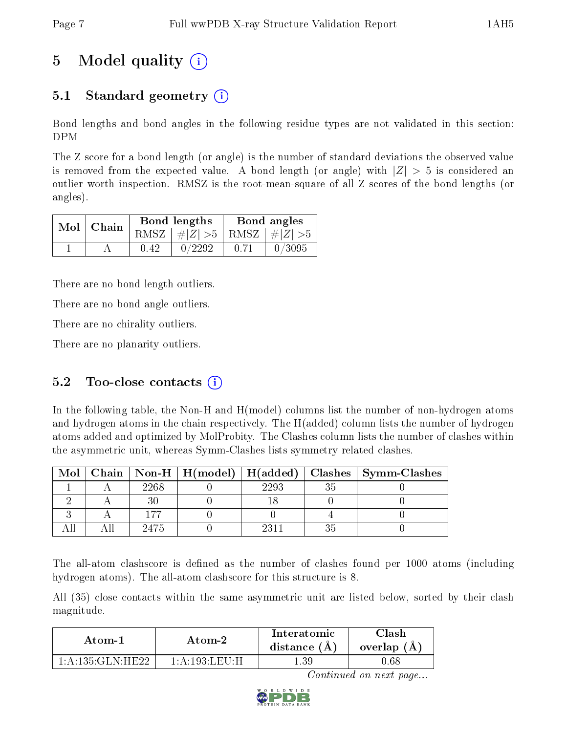# 5 Model quality  $(i)$

## 5.1 Standard geometry (i)

Bond lengths and bond angles in the following residue types are not validated in this section: DPM

The Z score for a bond length (or angle) is the number of standard deviations the observed value is removed from the expected value. A bond length (or angle) with  $|Z| > 5$  is considered an outlier worth inspection. RMSZ is the root-mean-square of all Z scores of the bond lengths (or angles).

| $Mol$ Chain |      | Bond lengths                    | Bond angles |        |  |
|-------------|------|---------------------------------|-------------|--------|--|
|             |      | RMSZ $ #Z  > 5$ RMSZ $ #Z  > 5$ |             |        |  |
|             | 0.42 | 0/2292                          | 0.71        | 0/3095 |  |

There are no bond length outliers.

There are no bond angle outliers.

There are no chirality outliers.

There are no planarity outliers.

#### 5.2 Too-close contacts  $(i)$

In the following table, the Non-H and H(model) columns list the number of non-hydrogen atoms and hydrogen atoms in the chain respectively. The H(added) column lists the number of hydrogen atoms added and optimized by MolProbity. The Clashes column lists the number of clashes within the asymmetric unit, whereas Symm-Clashes lists symmetry related clashes.

| Mol |      |      | Chain   Non-H   H(model)   H(added)   Clashes   Symm-Clashes |
|-----|------|------|--------------------------------------------------------------|
|     | 2268 | 2293 |                                                              |
|     |      |      |                                                              |
|     |      |      |                                                              |
|     | 2475 |      |                                                              |

The all-atom clashscore is defined as the number of clashes found per 1000 atoms (including hydrogen atoms). The all-atom clashscore for this structure is 8.

All (35) close contacts within the same asymmetric unit are listed below, sorted by their clash magnitude.

| Atom-1                      | Atom-2                                    | Interatomic<br>distance $(A)$ | <b>Clash</b><br>overlap (A) |
|-----------------------------|-------------------------------------------|-------------------------------|-----------------------------|
| $1:$ A $:$ 135: $GLN$ :HE22 | $1:$ A $:$ $193:$ L E U $\cdot$ H $\cdot$ | -39                           | 1.68                        |

Continued on next page...

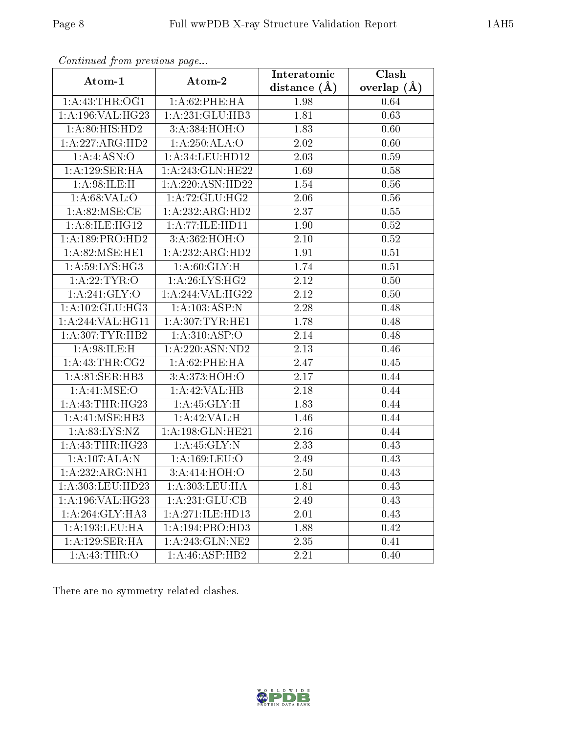| Continued from previous page |                    | Interatomic    | Clash         |
|------------------------------|--------------------|----------------|---------------|
| Atom-1                       | Atom-2             | distance $(A)$ | overlap $(A)$ |
| 1: A: 43: THR: OG1           | 1: A:62:PHE:HA     | 1.98           | 0.64          |
| 1:A:196:VAL:HG23             | 1:A:231:GLU:HB3    | 1.81           | 0.63          |
| 1:A:80:HIS:HD2               | 3:A:384:HOH:O      | 1.83           | 0.60          |
| 1:A:227:ARG:HD2              | 1:A:250:ALA:O      | 2.02           | 0.60          |
| 1:A:4:ASN:O                  | 1:A:34:LEU:HD12    | 2.03           | 0.59          |
| 1:A:129:SER:HA               | 1:A:243:GLN:HE22   | 1.69           | 0.58          |
| 1: A:98: ILE:H               | 1:A:220:ASN:HD22   | 1.54           | $0.56\,$      |
| 1: A:68: VAL:O               | 1:A:72:GLU:HG2     | 2.06           | $0.56\,$      |
| 1: A:82:MSE:CE               | 1:A:232:ARG:HD2    | 2.37           | 0.55          |
| 1: A:8: ILE: HG12            | 1:A:77:ILE:HD11    | 1.90           | $0.52\,$      |
| 1: A: 189: PRO: HD2          | 3:A:362:HOH:O      | 2.10           | 0.52          |
| 1: A:82: MSE: HE1            | 1:A:232:ARG:HD2    | 1.91           | 0.51          |
| 1:A:59:LYS:HG3               | 1: A:60: GLY: H    | 1.74           | 0.51          |
| 1:A:22:TYR:O                 | 1: A:26: LYS:HG2   | 2.12           | 0.50          |
| 1: A:241: GLY:O              | 1:A:244:VAL:HG22   | 2.12           | 0.50          |
| 1: A: 102: GLU: HG3          | 1: A: 103: ASP: N  | 2.28           | 0.48          |
| 1:A:244:VAL:HG11             | 1: A:307:TYR:HE1   | 1.78           | 0.48          |
| 1: A:307:TYR:HB2             | 1: A:310: ASP:O    | 2.14           | 0.48          |
| 1: A:98: ILE:H               | 1:A:220:ASN:ND2    | 2.13           | 0.46          |
| 1: A: 43: THR: CG2           | 1:A:62:PHE:HA      | 2.47           | 0.45          |
| 1: A:81: SER:HB3             | 3: A:373:HOH:O     | 2.17           | 0.44          |
| 1: A:41: MSE:O               | 1:A:42:VAL:HB      | 2.18           | 0.44          |
| 1: A: 43: THR: HG23          | 1: A:45: GLY:H     | 1.83           | 0.44          |
| 1:A:41:MSE:HB3               | 1:A:42:VAL:H       | 1.46           | 0.44          |
| 1: A:83: LYS: NZ             | 1:A:198:GLN:HE21   | 2.16           | 0.44          |
| 1:A:43:THR:HG23              | 1: A:45: GLY:N     | 2.33           | 0.43          |
| 1:A:107:ALA:N                | 1: A: 169: LEU: O  | 2.49           | 0.43          |
| 1:A:232:ARG:NH1              | 3:A:414:HOH:O      | 2.50           | 0.43          |
| 1:A:303:LEU:HD23             | 1:A:303:LEU:HA     | 1.81           | 0.43          |
| 1:A:196:VAL:HG23             | 1:A:231:GLU:CB     | 2.49           | 0.43          |
| 1:A:264:GLY:HA3              | 1:A:271:ILE:HD13   | 2.01           | 0.43          |
| 1:A:193:LEU:HA               | 1:A:194:PRO:HD3    | 1.88           | 0.42          |
| 1:A:129:SER:HA               | $1:$ A:243:GLN:NE2 | 2.35           | 0.41          |
| 1: A: 43: THR: O             | 1:A:46:ASP:HB2     | 2.21           | 0.40          |

Continued from previous page.

There are no symmetry-related clashes.

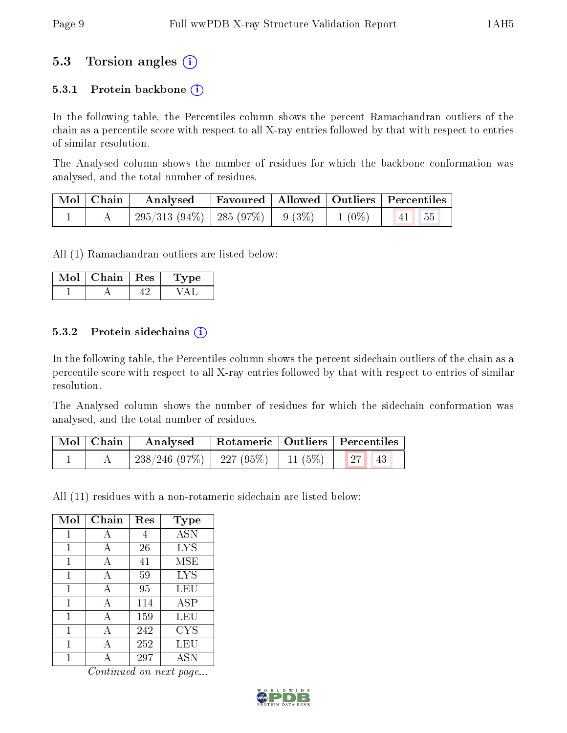### 5.3 Torsion angles (i)

#### 5.3.1 Protein backbone  $(i)$

In the following table, the Percentiles column shows the percent Ramachandran outliers of the chain as a percentile score with respect to all X-ray entries followed by that with respect to entries of similar resolution.

The Analysed column shows the number of residues for which the backbone conformation was analysed, and the total number of residues.

| $\mid$ Mol $\mid$ Chain $\mid$ | Analysed                                      | Favoured   Allowed   Outliers   Percentiles |  |          |                     |  |
|--------------------------------|-----------------------------------------------|---------------------------------------------|--|----------|---------------------|--|
|                                | $295/313$ $(94\%)$   285 $(97\%)$   9 $(3\%)$ |                                             |  | $1(0\%)$ | $\vert 41 \vert 55$ |  |

All (1) Ramachandran outliers are listed below:

| Mol | Chain | $\parallel$ Res | ype<br>L. |
|-----|-------|-----------------|-----------|
|     |       |                 |           |

#### 5.3.2 Protein sidechains  $\hat{I}$

In the following table, the Percentiles column shows the percent sidechain outliers of the chain as a percentile score with respect to all X-ray entries followed by that with respect to entries of similar resolution.

The Analysed column shows the number of residues for which the sidechain conformation was analysed, and the total number of residues.

| Mol   Chain | Analysed                                      |  | Rotameric   Outliers   Percentiles |  |
|-------------|-----------------------------------------------|--|------------------------------------|--|
|             | $238/246$ (97\%)   227 (95\%)   11 (5\%)   27 |  | 43                                 |  |

All (11) residues with a non-rotameric sidechain are listed below:

| Mol | Chain | Res | Type       |
|-----|-------|-----|------------|
| 1   | А     | 4   | <b>ASN</b> |
| 1   | А     | 26  | <b>LYS</b> |
| 1   | A     | 41  | MSE        |
| 1   | А     | 59  | <b>LYS</b> |
| 1   | A     | 95  | LEU        |
| 1   | A     | 114 | <b>ASP</b> |
| 1   | A     | 159 | LEU        |
| 1   | A     | 242 | <b>CYS</b> |
| 1   | А     | 252 | LEU        |
|     |       | 297 | <b>ASN</b> |

Continued on next page...

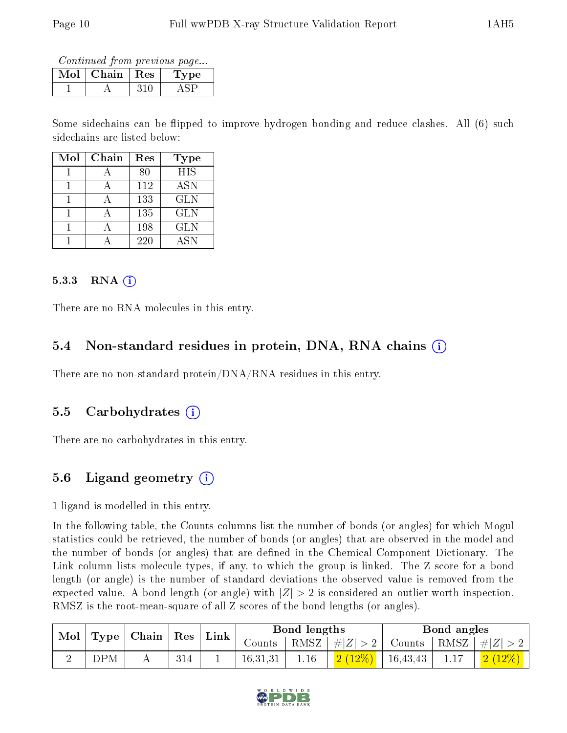Continued from previous page...

| Mol | $\vert$ Chain $\vert$ Res | 'Type |
|-----|---------------------------|-------|
|     |                           |       |

Some sidechains can be flipped to improve hydrogen bonding and reduce clashes. All (6) such sidechains are listed below:

| Mol | Chain | Res | Type       |
|-----|-------|-----|------------|
|     |       | 80  | <b>HIS</b> |
|     |       | 112 | <b>ASN</b> |
|     |       | 133 | <b>GLN</b> |
|     |       | 135 | <b>GLN</b> |
|     |       | 198 | <b>GLN</b> |
|     |       | 220 | <b>ASN</b> |

#### 5.3.3 RNA  $(i)$

There are no RNA molecules in this entry.

#### 5.4 Non-standard residues in protein, DNA, RNA chains (i)

There are no non-standard protein/DNA/RNA residues in this entry.

#### 5.5 Carbohydrates (i)

There are no carbohydrates in this entry.

### 5.6 Ligand geometry  $(i)$

1 ligand is modelled in this entry.

In the following table, the Counts columns list the number of bonds (or angles) for which Mogul statistics could be retrieved, the number of bonds (or angles) that are observed in the model and the number of bonds (or angles) that are dened in the Chemical Component Dictionary. The Link column lists molecule types, if any, to which the group is linked. The Z score for a bond length (or angle) is the number of standard deviations the observed value is removed from the expected value. A bond length (or angle) with  $|Z| > 2$  is considered an outlier worth inspection. RMSZ is the root-mean-square of all Z scores of the bond lengths (or angles).

|            | $\mid$ Mol $\mid$ Type $\mid$ Chain $\mid$ Res $\mid$ Link |  |          | Bond lengths |                              | Bond angles |                                              |
|------------|------------------------------------------------------------|--|----------|--------------|------------------------------|-------------|----------------------------------------------|
|            |                                                            |  | Counts   |              | RMSZ   $\# Z  > 2$           |             | $\perp$ Counts $\mid$ RMSZ $\mid \#  Z  > 2$ |
| <b>DPM</b> |                                                            |  | 16.31.31 | 1.16         | $\boxed{2(12\%)}$   16,43,43 |             | $2(12\%)$                                    |

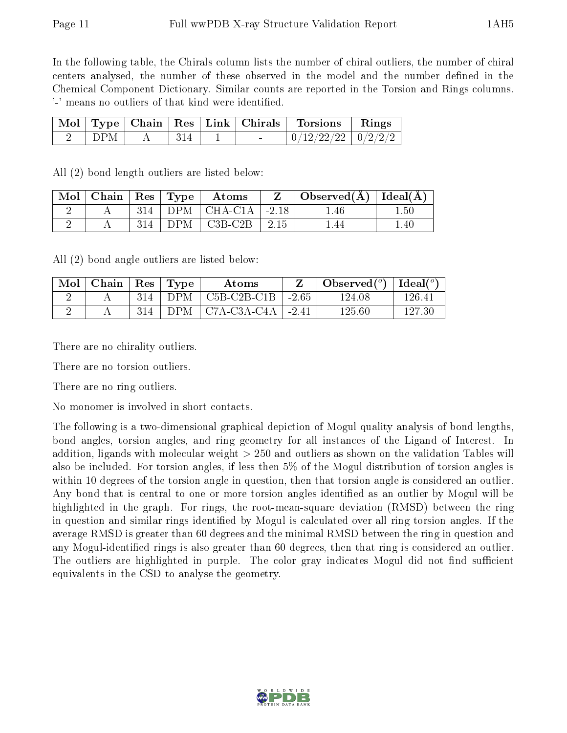In the following table, the Chirals column lists the number of chiral outliers, the number of chiral centers analysed, the number of these observed in the model and the number defined in the Chemical Component Dictionary. Similar counts are reported in the Torsion and Rings columns. '-' means no outliers of that kind were identified.

|            |      | Mol   Type   Chain   Res   Link   Chirals | <b>Torsions</b>          | Rings |
|------------|------|-------------------------------------------|--------------------------|-------|
| <b>DPM</b> | -314 | $\sim$                                    | $0/12/22/22$   $0/2/2/2$ |       |

All (2) bond length outliers are listed below:

| $\rm{Mol}$ | $\vert$ Chain $\vert$ Res $\vert$ Type |     | Atoms                                            | $\Box$ Observed( $\AA$ )   Ideal( $\AA$ ) |     |
|------------|----------------------------------------|-----|--------------------------------------------------|-------------------------------------------|-----|
|            |                                        | 314 | $\vert$ DPM $\vert$ CHA-C1A $\vert$ -2.18        | .46                                       | .50 |
|            |                                        |     | $DPM$   C <sub>3</sub> B-C <sub>2</sub> B   2.15 |                                           | .40 |

All (2) bond angle outliers are listed below:

| Mol | Chain | $\operatorname{Res}$ | Type | Atoms         |         | Observed $(^\circ)$ | $\text{Ideal}({}^o)$ |
|-----|-------|----------------------|------|---------------|---------|---------------------|----------------------|
|     |       | 314                  | DP M | $C5B-C2B-C1B$ | $-2.65$ | 124.08              | 126.41               |
|     |       | 314                  | DP M | C7A-C3A-C4A   | $-2.41$ | 125.60              |                      |

There are no chirality outliers.

There are no torsion outliers.

There are no ring outliers.

No monomer is involved in short contacts.

The following is a two-dimensional graphical depiction of Mogul quality analysis of bond lengths, bond angles, torsion angles, and ring geometry for all instances of the Ligand of Interest. In addition, ligands with molecular weight > 250 and outliers as shown on the validation Tables will also be included. For torsion angles, if less then 5% of the Mogul distribution of torsion angles is within 10 degrees of the torsion angle in question, then that torsion angle is considered an outlier. Any bond that is central to one or more torsion angles identified as an outlier by Mogul will be highlighted in the graph. For rings, the root-mean-square deviation (RMSD) between the ring in question and similar rings identified by Mogul is calculated over all ring torsion angles. If the average RMSD is greater than 60 degrees and the minimal RMSD between the ring in question and any Mogul-identified rings is also greater than 60 degrees, then that ring is considered an outlier. The outliers are highlighted in purple. The color gray indicates Mogul did not find sufficient equivalents in the CSD to analyse the geometry.

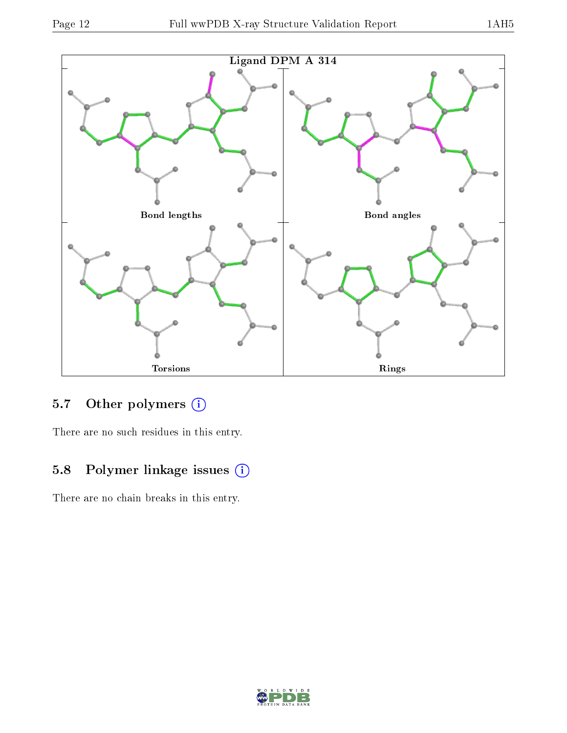

### 5.7 [O](https://www.wwpdb.org/validation/2017/XrayValidationReportHelp#nonstandard_residues_and_ligands)ther polymers (i)

There are no such residues in this entry.

### 5.8 Polymer linkage issues (i)

There are no chain breaks in this entry.

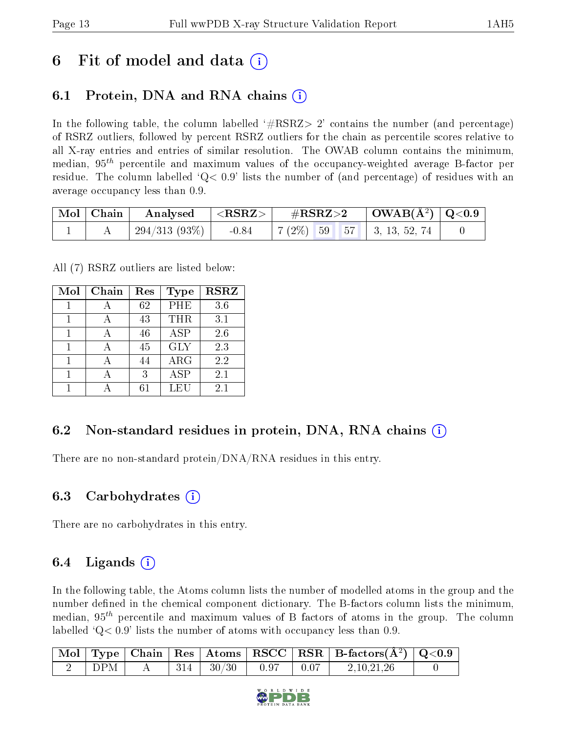## 6 Fit of model and data  $\left( \cdot \right)$

## 6.1 Protein, DNA and RNA chains (i)

In the following table, the column labelled  $#RSRZ>2'$  contains the number (and percentage) of RSRZ outliers, followed by percent RSRZ outliers for the chain as percentile scores relative to all X-ray entries and entries of similar resolution. The OWAB column contains the minimum, median,  $95<sup>th</sup>$  percentile and maximum values of the occupancy-weighted average B-factor per residue. The column labelled  $Q< 0.9$  lists the number of (and percentage) of residues with an average occupancy less than 0.9.

| $\mid$ Mol $\mid$ Chain | Analysed        | $\mathbf{R}^{\mathbf{R}}$ | $\#\mathrm{RSRZ}{>}2$ |  | $\mid$ OWAB(Å <sup>2</sup> ) $\mid$ Q<0.9 $\mid$ |                                                          |  |
|-------------------------|-----------------|---------------------------|-----------------------|--|--------------------------------------------------|----------------------------------------------------------|--|
|                         | $294/313(93\%)$ | $-0.84$                   |                       |  |                                                  | $\mid 7 \ (2\%) \mid 59 \mid 57 \mid 3, 13, 52, 74 \mid$ |  |

All (7) RSRZ outliers are listed below:

| Mol | Chain | Res | <b>Type</b> | <b>RSRZ</b> |  |
|-----|-------|-----|-------------|-------------|--|
|     |       | 62  | PHE         | 3.6         |  |
|     |       | 43  | <b>THR</b>  | 3.1         |  |
| 1   |       | 46  | ASP         | 2.6         |  |
| 1   |       | 45  | <b>GLY</b>  | 2.3         |  |
|     |       | 44  | $\rm{ARG}$  | 2.2         |  |
| 1   |       | 3   | ASP         | 2.1         |  |
|     |       | հ1  | - EH        | 2.1         |  |

#### 6.2 Non-standard residues in protein, DNA, RNA chains  $(i)$

There are no non-standard protein/DNA/RNA residues in this entry.

#### 6.3 Carbohydrates (i)

There are no carbohydrates in this entry.

#### 6.4 Ligands  $(i)$

In the following table, the Atoms column lists the number of modelled atoms in the group and the number defined in the chemical component dictionary. The B-factors column lists the minimum, median,  $95<sup>th</sup>$  percentile and maximum values of B factors of atoms in the group. The column labelled  $Q< 0.9$  lists the number of atoms with occupancy less than 0.9.

|     |  |                                                                                          |  | $\mid$ Mol $\mid$ Type $\mid$ Chain $\mid$ Res $\mid$ Atoms $\mid$ RSCC $\mid$ RSR $\mid$ B-factors(Å <sup>2</sup> ) $\mid$ Q<0.9 |  |
|-----|--|------------------------------------------------------------------------------------------|--|-----------------------------------------------------------------------------------------------------------------------------------|--|
| DPM |  | $A = \begin{array}{ c c c c c c } \hline 314 & 30/30 & 0.97 & 0.07 \ \hline \end{array}$ |  | 2.10.21.26                                                                                                                        |  |